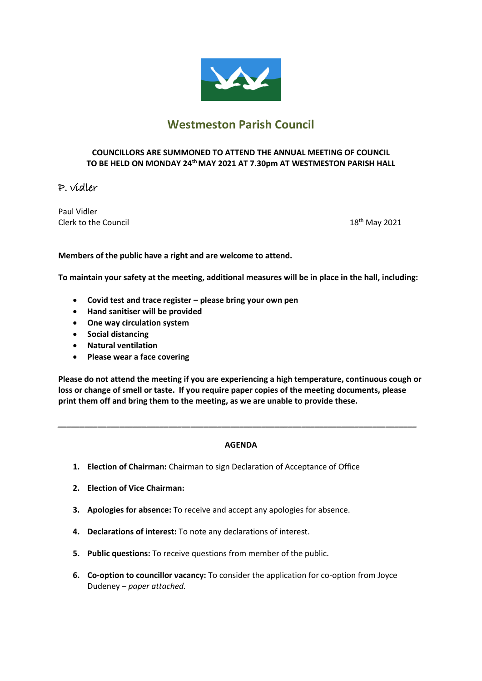

# **Westmeston Parish Council**

### **COUNCILLORS ARE SUMMONED TO ATTEND THE ANNUAL MEETING OF COUNCIL TO BE HELD ON MONDAY 24th MAY 2021 AT 7.30pm AT WESTMESTON PARISH HALL**

# P. vidler

Paul Vidler Clerk to the Council and the Council and the Council and the Council and the Council and the Council and the Council and the Council and the Council and the Council and the Council and the Council and the Council and the C

**Members of the public have a right and are welcome to attend.** 

**To maintain your safety at the meeting, additional measures will be in place in the hall, including:**

- **Covid test and trace register – please bring your own pen**
- **Hand sanitiser will be provided**
- **One way circulation system**
- **Social distancing**
- **Natural ventilation**
- **Please wear a face covering**

**Please do not attend the meeting if you are experiencing a high temperature, continuous cough or loss or change of smell or taste. If you require paper copies of the meeting documents, please print them off and bring them to the meeting, as we are unable to provide these.**

### **AGENDA**

*\_\_\_\_\_\_\_\_\_\_\_\_\_\_\_\_\_\_\_\_\_\_\_\_\_\_\_\_\_\_\_\_\_\_\_\_\_\_\_\_\_\_\_\_\_\_\_\_\_\_\_\_\_\_\_\_\_\_\_\_\_\_\_\_\_\_\_\_\_\_\_\_\_\_\_\_\_\_\_\_\_*

- **1. Election of Chairman:** Chairman to sign Declaration of Acceptance of Office
- **2. Election of Vice Chairman:**
- **3. Apologies for absence:** To receive and accept any apologies for absence.
- **4. Declarations of interest:** To note any declarations of interest.
- **5. Public questions:** To receive questions from member of the public.
- **6. Co-option to councillor vacancy:** To consider the application for co-option from Joyce Dudeney – *paper attached.*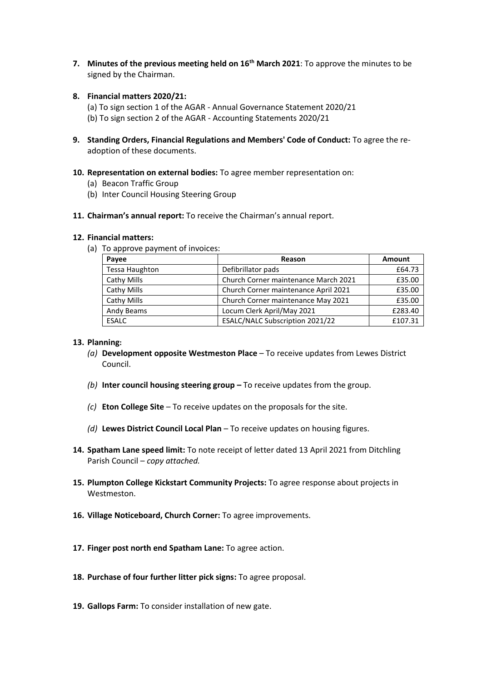- **7. Minutes of the previous meeting held on 16th March 2021**: To approve the minutes to be signed by the Chairman.
- **8. Financial matters 2020/21:**

(a) To sign section 1 of the AGAR - Annual Governance Statement 2020/21 (b) To sign section 2 of the AGAR - Accounting Statements 2020/21

- **9. Standing Orders, Financial Regulations and Members' Code of Conduct:** To agree the readoption of these documents.
- **10. Representation on external bodies:** To agree member representation on:
	- (a) Beacon Traffic Group
	- (b) Inter Council Housing Steering Group
- **11. Chairman's annual report:** To receive the Chairman's annual report.

#### **12. Financial matters:**

(a) To approve payment of invoices:

| Payee                 | Reason                               | <b>Amount</b> |
|-----------------------|--------------------------------------|---------------|
| <b>Tessa Haughton</b> | Defibrillator pads                   | £64.73        |
| Cathy Mills           | Church Corner maintenance March 2021 | £35.00        |
| Cathy Mills           | Church Corner maintenance April 2021 | £35.00        |
| Cathy Mills           | Church Corner maintenance May 2021   | £35.00        |
| Andy Beams            | Locum Clerk April/May 2021           | £283.40       |
| <b>ESALC</b>          | ESALC/NALC Subscription 2021/22      | £107.31       |

#### **13. Planning:**

- *(a)* **Development opposite Westmeston Place**  To receive updates from Lewes District Council.
- *(b)* **Inter council housing steering group –** To receive updates from the group.
- *(c)* **Eton College Site** *–* To receive updates on the proposals for the site.
- *(d)* **Lewes District Council Local Plan** *–* To receive updates on housing figures.
- **14. Spatham Lane speed limit:** To note receipt of letter dated 13 April 2021 from Ditchling Parish Council – *copy attached.*
- **15. Plumpton College Kickstart Community Projects:** To agree response about projects in Westmeston.
- **16. Village Noticeboard, Church Corner:** To agree improvements.
- **17. Finger post north end Spatham Lane:** To agree action.
- **18. Purchase of four further litter pick signs:** To agree proposal.
- **19. Gallops Farm:** To consider installation of new gate.